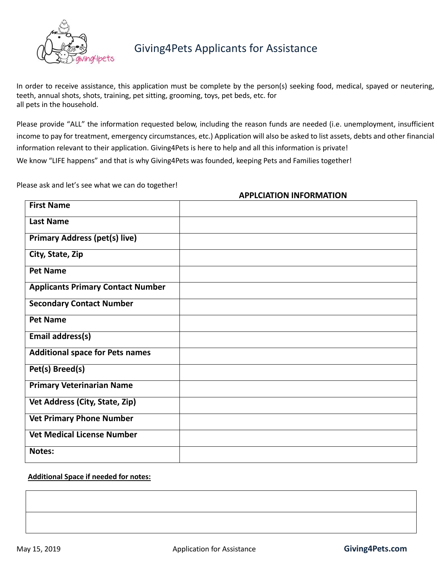

# Giving4Pets Applicants for Assistance

In order to receive assistance, this application must be complete by the person(s) seeking food, medical, spayed or neutering, teeth, annual shots, shots, training, pet sitting, grooming, toys, pet beds, etc. for all pets in the household.

Please provide "ALL" the information requested below, including the reason funds are needed (i.e. unemployment, insufficient income to pay for treatment, emergency circumstances, etc.) Application will also be asked to list assets, debts and other financial information relevant to their application. Giving4Pets is here to help and all this information is private! We know "LIFE happens" and that is why Giving4Pets was founded, keeping Pets and Families together!

Please ask and let's see what we can do together!

| <b>APPLCIATION INFORMATION</b> |
|--------------------------------|
|                                |

| <b>First Name</b>                        |  |
|------------------------------------------|--|
| <b>Last Name</b>                         |  |
| <b>Primary Address (pet(s) live)</b>     |  |
| City, State, Zip                         |  |
| <b>Pet Name</b>                          |  |
| <b>Applicants Primary Contact Number</b> |  |
| <b>Secondary Contact Number</b>          |  |
| <b>Pet Name</b>                          |  |
| <b>Email address(s)</b>                  |  |
| <b>Additional space for Pets names</b>   |  |
| Pet(s) Breed(s)                          |  |
| <b>Primary Veterinarian Name</b>         |  |
| Vet Address (City, State, Zip)           |  |
| <b>Vet Primary Phone Number</b>          |  |
| <b>Vet Medical License Number</b>        |  |
| Notes:                                   |  |

#### **Additional Space if needed for notes:**